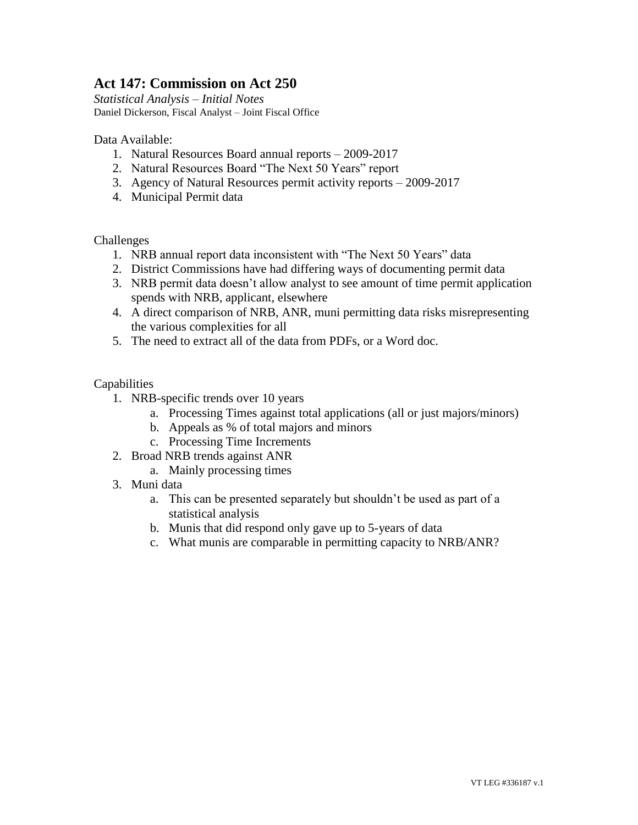## **Act 147: Commission on Act 250**

*Statistical Analysis – Initial Notes* Daniel Dickerson, Fiscal Analyst – Joint Fiscal Office

## Data Available:

- 1. Natural Resources Board annual reports 2009-2017
- 2. Natural Resources Board "The Next 50 Years" report
- 3. Agency of Natural Resources permit activity reports 2009-2017
- 4. Municipal Permit data

Challenges

- 1. NRB annual report data inconsistent with "The Next 50 Years" data
- 2. District Commissions have had differing ways of documenting permit data
- 3. NRB permit data doesn't allow analyst to see amount of time permit application spends with NRB, applicant, elsewhere
- 4. A direct comparison of NRB, ANR, muni permitting data risks misrepresenting the various complexities for all
- 5. The need to extract all of the data from PDFs, or a Word doc.

## Capabilities

- 1. NRB-specific trends over 10 years
	- a. Processing Times against total applications (all or just majors/minors)
	- b. Appeals as % of total majors and minors
	- c. Processing Time Increments
- 2. Broad NRB trends against ANR
	- a. Mainly processing times
- 3. Muni data
	- a. This can be presented separately but shouldn't be used as part of a statistical analysis
	- b. Munis that did respond only gave up to 5-years of data
	- c. What munis are comparable in permitting capacity to NRB/ANR?